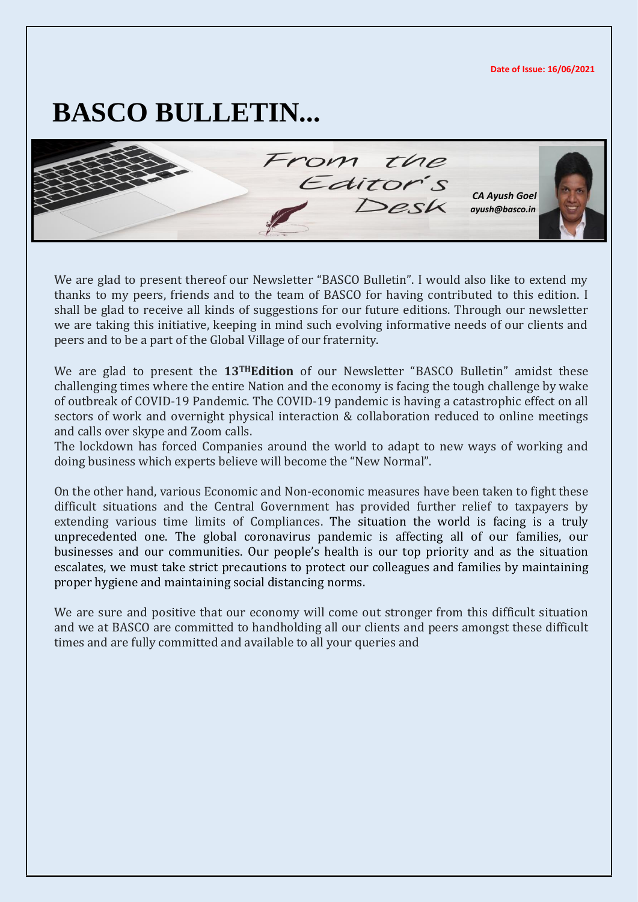**Date of Issue: 16/06/2021**

# **BASCO BULLETIN...**

From the Editor  *CA Ayush Goel [ayush@basco.in](mailto:ayush@basco.in)*

We are glad to present thereof our Newsletter "BASCO Bulletin". I would also like to extend my thanks to my peers, friends and to the team of BASCO for having contributed to this edition. I shall be glad to receive all kinds of suggestions for our future editions. Through our newsletter we are taking this initiative, keeping in mind such evolving informative needs of our clients and peers and to be a part of the Global Village of our fraternity.

We are glad to present the **13THEdition** of our Newsletter "BASCO Bulletin" amidst these challenging times where the entire Nation and the economy is facing the tough challenge by wake of outbreak of COVID-19 Pandemic. The COVID-19 pandemic is having a catastrophic effect on all sectors of work and overnight physical interaction & collaboration reduced to online meetings and calls over skype and Zoom calls.

The lockdown has forced Companies around the world to adapt to new ways of working and doing business which experts believe will become the "New Normal".

On the other hand, various Economic and Non-economic measures have been taken to fight these difficult situations and the Central Government has provided further relief to taxpayers by extending various time limits of Compliances. The situation the world is facing is a truly unprecedented one. The global coronavirus pandemic is affecting all of our families, our businesses and our communities. Our people's health is our top priority and as the situation escalates, we must take strict precautions to protect our colleagues and families by maintaining proper hygiene and maintaining social distancing norms.

We are sure and positive that our economy will come out stronger from this difficult situation and we at BASCO are committed to handholding all our clients and peers amongst these difficult times and are fully committed and available to all your queries and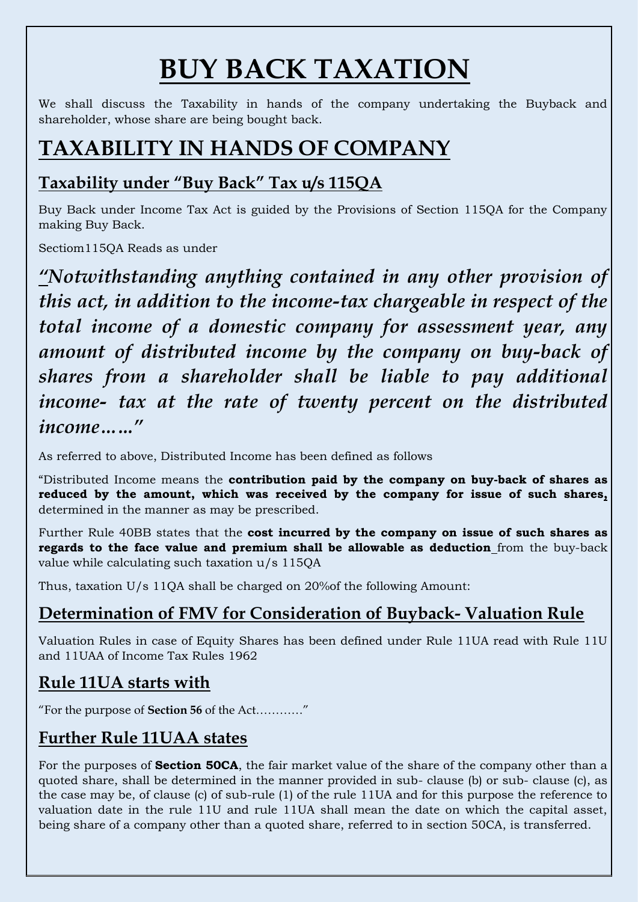# **BUY BACK TAXATION**

We shall discuss the Taxability in hands of the company undertaking the Buyback and shareholder, whose share are being bought back.

## **TAXABILITY IN HANDS OF COMPANY**

#### **Taxability under "Buy Back" Tax u/s 115QA**

Buy Back under Income Tax Act is guided by the Provisions of Section 115QA for the Company making Buy Back.

Sectiom115QA Reads as under

*"Notwithstanding anything contained in any other provision of this act, in addition to the income-tax chargeable in respect of the total income of a domestic company for assessment year, any amount of distributed income by the company on buy-back of shares from a shareholder shall be liable to pay additional income- tax at the rate of twenty percent on the distributed income…..."*

As referred to above, Distributed Income has been defined as follows

"Distributed Income means the **contribution paid by the company on buy-back of shares as reduced by the amount, which was received by the company for issue of such shares,**  determined in the manner as may be prescribed.

Further Rule 40BB states that the **cost incurred by the company on issue of such shares as regards to the face value and premium shall be allowable as deduction** from the buy-back value while calculating such taxation u/s 115QA

Thus, taxation U/s 11QA shall be charged on 20%of the following Amount:

### **Determination of FMV for Consideration of Buyback- Valuation Rule**

Valuation Rules in case of Equity Shares has been defined under Rule 11UA read with Rule 11U and 11UAA of Income Tax Rules 1962

#### **Rule 11UA starts with**

"For the purpose of **Section 56** of the Act…………"

### **Further Rule 11UAA states**

For the purposes of **Section 50CA**, the fair market value of the share of the company other than a quoted share, shall be determined in the manner provided in sub- clause (b) or sub- clause (c), as the case may be, of clause (c) of sub-rule (1) of the rule 11UA and for this purpose the reference to valuation date in the rule 11U and rule 11UA shall mean the date on which the capital asset, being share of a company other than a quoted share, referred to in section 50CA, is transferred.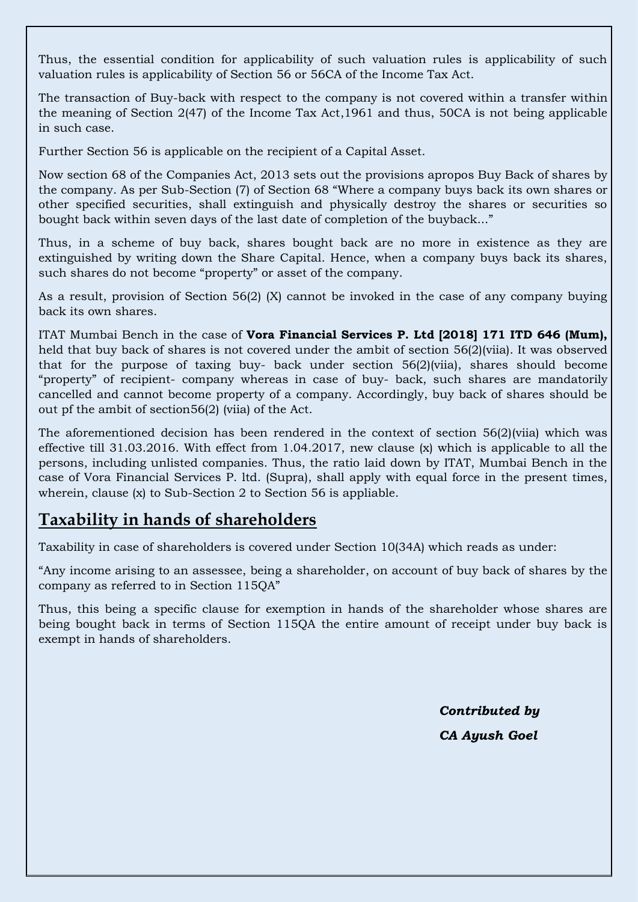Thus, the essential condition for applicability of such valuation rules is applicability of such valuation rules is applicability of Section 56 or 56CA of the Income Tax Act.

The transaction of Buy-back with respect to the company is not covered within a transfer within the meaning of Section 2(47) of the Income Tax Act,1961 and thus, 50CA is not being applicable in such case.

Further Section 56 is applicable on the recipient of a Capital Asset.

Now section 68 of the Companies Act, 2013 sets out the provisions apropos Buy Back of shares by the company. As per Sub-Section (7) of Section 68 "Where a company buys back its own shares or other specified securities, shall extinguish and physically destroy the shares or securities so bought back within seven days of the last date of completion of the buyback..."

Thus, in a scheme of buy back, shares bought back are no more in existence as they are extinguished by writing down the Share Capital. Hence, when a company buys back its shares, such shares do not become "property" or asset of the company.

As a result, provision of Section 56(2) (X) cannot be invoked in the case of any company buying back its own shares.

ITAT Mumbai Bench in the case of **Vora Financial Services P. Ltd [2018] 171 ITD 646 (Mum),**  held that buy back of shares is not covered under the ambit of section 56(2)(viia). It was observed that for the purpose of taxing buy- back under section 56(2)(viia), shares should become "property" of recipient- company whereas in case of buy- back, such shares are mandatorily cancelled and cannot become property of a company. Accordingly, buy back of shares should be out pf the ambit of section56(2) (viia) of the Act.

The aforementioned decision has been rendered in the context of section 56(2)(viia) which was effective till 31.03.2016. With effect from 1.04.2017, new clause (x) which is applicable to all the persons, including unlisted companies. Thus, the ratio laid down by ITAT, Mumbai Bench in the case of Vora Financial Services P. ltd. (Supra), shall apply with equal force in the present times, wherein, clause (x) to Sub-Section 2 to Section 56 is appliable.

#### **Taxability in hands of shareholders**

Taxability in case of shareholders is covered under Section 10(34A) which reads as under:

"Any income arising to an assessee, being a shareholder, on account of buy back of shares by the company as referred to in Section 115QA"

Thus, this being a specific clause for exemption in hands of the shareholder whose shares are being bought back in terms of Section 115QA the entire amount of receipt under buy back is exempt in hands of shareholders.

> *Contributed by CA Ayush Goel*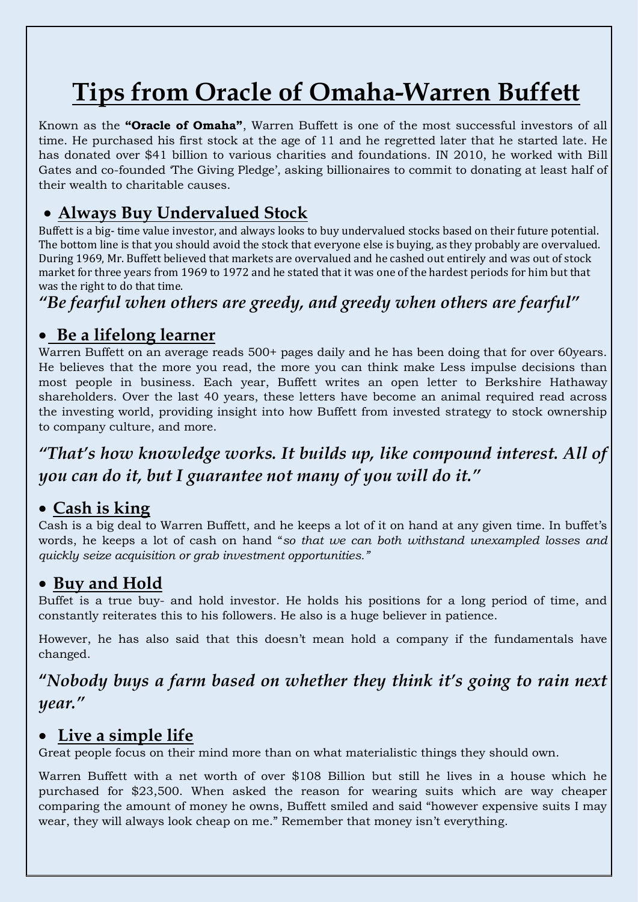# **Tips from Oracle of Omaha-Warren Buffett**

Known as the **"Oracle of Omaha"**, Warren Buffett is one of the most successful investors of all time. He purchased his first stock at the age of 11 and he regretted later that he started late. He has donated over \$41 billion to various charities and foundations. IN 2010, he worked with Bill Gates and co-founded 'The Giving Pledge', asking billionaires to commit to donating at least half of their wealth to charitable causes.

#### • **Always Buy Undervalued Stock**

Buffett is a big- time value investor, and always looks to buy undervalued stocks based on their future potential. The bottom line is that you should avoid the stock that everyone else is buying, as they probably are overvalued. During 1969, Mr. Buffett believed that markets are overvalued and he cashed out entirely and was out of stock market for three years from 1969 to 1972 and he stated that it was one of the hardest periods for him but that was the right to do that time.

*"Be fearful when others are greedy, and greedy when others are fearful"*

#### • **Be a lifelong learner**

Warren Buffett on an average reads 500+ pages daily and he has been doing that for over 60years. He believes that the more you read, the more you can think make Less impulse decisions than most people in business. Each year, Buffett writes an open letter to Berkshire Hathaway shareholders. Over the last 40 years, these letters have become an animal required read across the investing world, providing insight into how Buffett from invested strategy to stock ownership to company culture, and more.

*"That's how knowledge works. It builds up, like compound interest. All of you can do it, but I guarantee not many of you will do it."*

#### • **Cash is king**

Cash is a big deal to Warren Buffett, and he keeps a lot of it on hand at any given time. In buffet's words, he keeps a lot of cash on hand "*so that we can both withstand unexampled losses and quickly seize acquisition or grab investment opportunities."*

#### • **Buy and Hold**

Buffet is a true buy- and hold investor. He holds his positions for a long period of time, and constantly reiterates this to his followers. He also is a huge believer in patience.

However, he has also said that this doesn't mean hold a company if the fundamentals have changed.

**"***Nobody buys a farm based on whether they think it's going to rain next year."*

#### • **Live a simple life**

Great people focus on their mind more than on what materialistic things they should own.

Warren Buffett with a net worth of over \$108 Billion but still he lives in a house which he purchased for \$23,500. When asked the reason for wearing suits which are way cheaper comparing the amount of money he owns, Buffett smiled and said "however expensive suits I may wear, they will always look cheap on me." Remember that money isn't everything.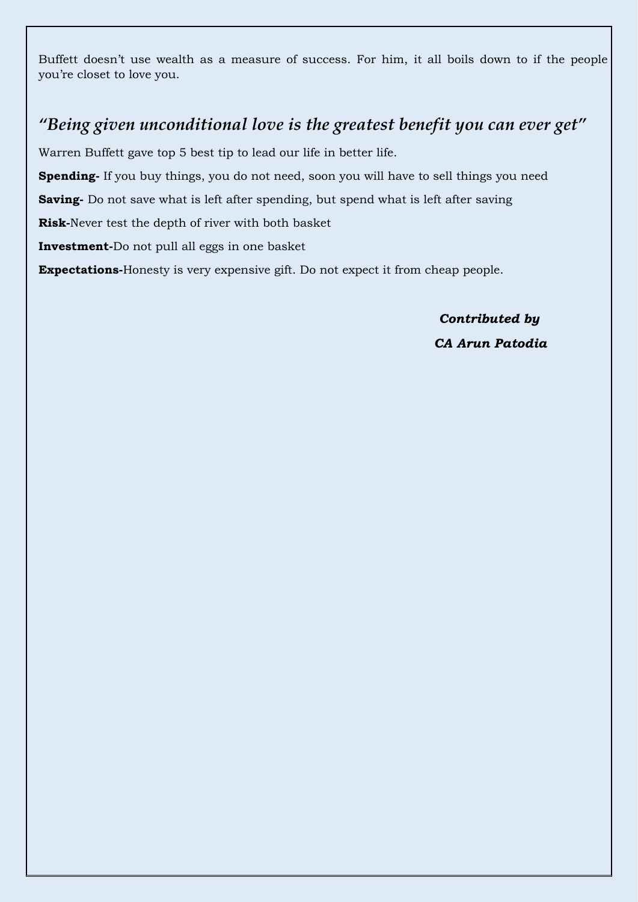Buffett doesn't use wealth as a measure of success. For him, it all boils down to if the people you're closet to love you.

#### *"Being given unconditional love is the greatest benefit you can ever get"*

Warren Buffett gave top 5 best tip to lead our life in better life.

**Spending-** If you buy things, you do not need, soon you will have to sell things you need

**Saving-** Do not save what is left after spending, but spend what is left after saving

**Risk-**Never test the depth of river with both basket

**Investment-**Do not pull all eggs in one basket

**Expectations-**Honesty is very expensive gift. Do not expect it from cheap people.

*Contributed by CA Arun Patodia*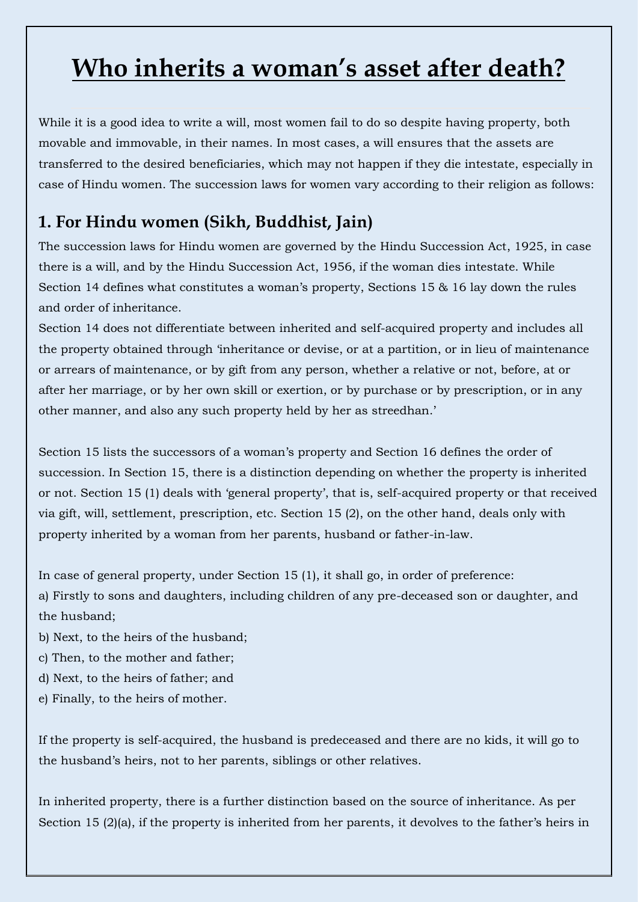## **Who inherits a woman's asset after death?**

While it is a good idea to write a will, most women fail to do so despite having [property,](https://m.economictimes.com/topic/property) both movable and immovable, in their names. In most cases, a will ensures that the assets are transferred to the desired beneficiaries, which may not happen if they die intestate, especially in case of Hindu women. The [succession laws](https://m.economictimes.com/topic/succession-laws) for women vary according to their religion as follows:

### **1. For Hindu women (Sikh, Buddhist, Jain)**

The succession laws for Hindu women are governed by the [Hindu Succession Act,](https://m.economictimes.com/topic/Hindu-Succession-Act) 1925, in case there is a will, and by the Hindu Succession Act, 1956, if the woman dies intestate. While Section 14 defines what constitutes a woman's property, Sections 15 & 16 lay down the rules and order of [inheritance.](https://m.economictimes.com/topic/inheritance)

Section 14 does not differentiate between inherited and self-acquired property and includes all the property obtained through 'inheritance or devise, or at a partition, or in lieu of maintenance or arrears of maintenance, or by gift from any person, whether a relative or not, before, at or after her marriage, or by her own skill or exertion, or by purchase or by prescription, or in any other manner, and also any such property held by her as streedhan.'

Section 15 lists the successors of a woman's property and Section 16 defines the order of succession. In Section 15, there is a distinction depending on whether the property is inherited or not. Section 15 (1) deals with 'general property', that is, self-acquired property or that received via gift, will, settlement, prescription, etc. Section 15 (2), on the other hand, deals only with property inherited by a woman from her parents, husband or father-in-law.

In case of general property, under Section 15 (1), it shall go, in order of preference:

a) Firstly to sons and daughters, including children of any pre-deceased son or daughter, and the husband;

- b) Next, to the heirs of the husband;
- c) Then, to the mother and father;
- d) Next, to the heirs of father; and
- e) Finally, to the heirs of mother.

If the property is self-acquired, the husband is predeceased and there are no kids, it will go to the husband's heirs, not to her parents, siblings or other relatives.

In inherited property, there is a further distinction based on the source of inheritance. As per Section 15 (2)(a), if the property is inherited from her parents, it devolves to the father's heirs in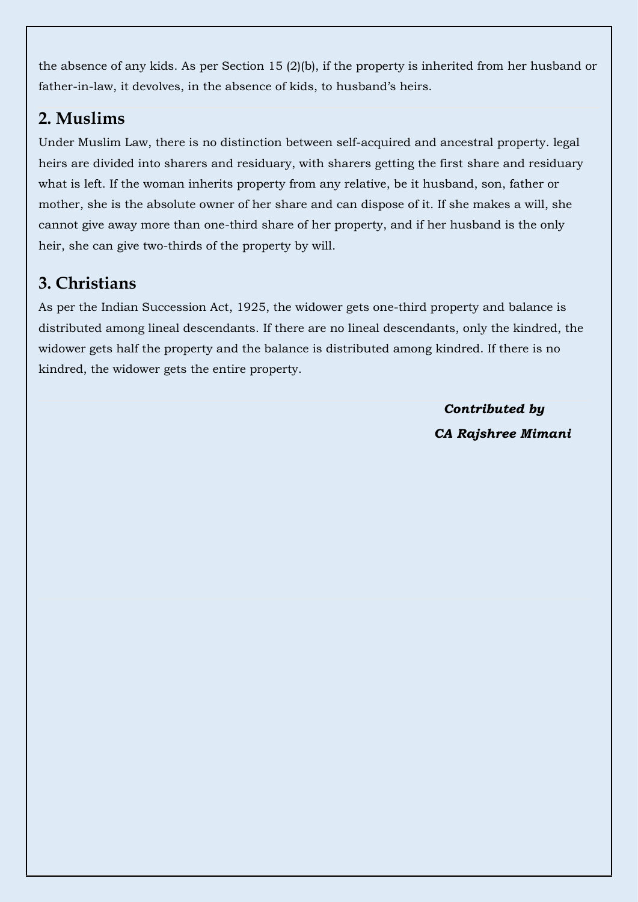the absence of any kids. As per Section 15 (2)(b), if the property is inherited from her husband or father-in-law, it devolves, in the absence of kids, to husband's heirs.

## **2. Muslims**

Under Muslim Law, there is no distinction between self-acquired and ancestral property. [legal](https://m.economictimes.com/topic/Legal-heirs) [heirs](https://m.economictimes.com/topic/Legal-heirs) are divided into sharers and residuary, with sharers getting the first share and residuary what is left. If the woman inherits property from any relative, be it husband, son, father or mother, she is the absolute owner of her share and can dispose of it. If she makes a will, she cannot give away more than one-third share of her property, and if her husband is the only heir, she can give two-thirds of the property by will.

## **3. Christians**

As per the [Indian Succession Act,](https://m.economictimes.com/topic/Indian-Succession-Act) 1925, the widower gets one-third property and balance is distributed among lineal descendants. If there are no lineal descendants, only the kindred, the widower gets half the property and the balance is distributed among kindred. If there is no kindred, the widower gets the entire property.

> *Contributed by CA Rajshree Mimani*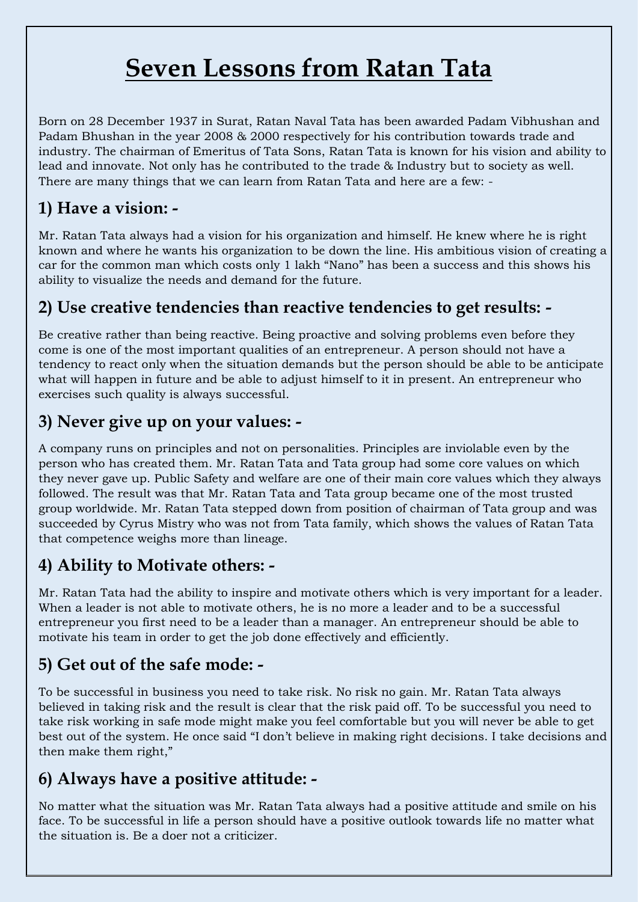## **Seven Lessons from Ratan Tata**

Born on 28 December 1937 in Surat, Ratan Naval Tata has been awarded Padam Vibhushan and Padam Bhushan in the year 2008 & 2000 respectively for his contribution towards trade and industry. The chairman of Emeritus of Tata Sons, Ratan Tata is known for his vision and ability to lead and innovate. Not only has he contributed to the trade & Industry but to society as well. There are many things that we can learn from Ratan Tata and here are a few: -

## **1) Have a vision: -**

Mr. Ratan Tata always had a vision for his organization and himself. He knew where he is right known and where he wants his organization to be down the line. His ambitious vision of creating a car for the common man which costs only 1 lakh "Nano" has been a success and this shows his ability to visualize the needs and demand for the future.

### **2) Use creative tendencies than reactive tendencies to get results: -**

Be creative rather than being reactive. Being proactive and solving problems even before they come is one of the most important qualities of an entrepreneur. A person should not have a tendency to react only when the situation demands but the person should be able to be anticipate what will happen in future and be able to adjust himself to it in present. An entrepreneur who exercises such quality is always successful.

### **3) Never give up on your values: -**

A company runs on principles and not on personalities. Principles are inviolable even by the person who has created them. Mr. Ratan Tata and Tata group had some core values on which they never gave up. Public Safety and welfare are one of their main core values which they always followed. The result was that Mr. Ratan Tata and Tata group became one of the most trusted group worldwide. Mr. Ratan Tata stepped down from position of chairman of Tata group and was succeeded by Cyrus Mistry who was not from Tata family, which shows the values of Ratan Tata that competence weighs more than lineage.

### **4) Ability to Motivate others: -**

Mr. Ratan Tata had the ability to inspire and motivate others which is very important for a leader. When a leader is not able to motivate others, he is no more a leader and to be a successful entrepreneur you first need to be a leader than a manager. An entrepreneur should be able to motivate his team in order to get the job done effectively and efficiently.

## **5) Get out of the safe mode: -**

To be successful in business you need to take risk. No risk no gain. Mr. Ratan Tata always believed in taking risk and the result is clear that the risk paid off. To be successful you need to take risk working in safe mode might make you feel comfortable but you will never be able to get best out of the system. He once said "I don't believe in making right decisions. I take decisions and then make them right,"

#### **6) Always have a positive attitude: -**

No matter what the situation was Mr. Ratan Tata always had a positive attitude and smile on his face. To be successful in life a person should have a positive outlook towards life no matter what the situation is. Be a doer not a criticizer.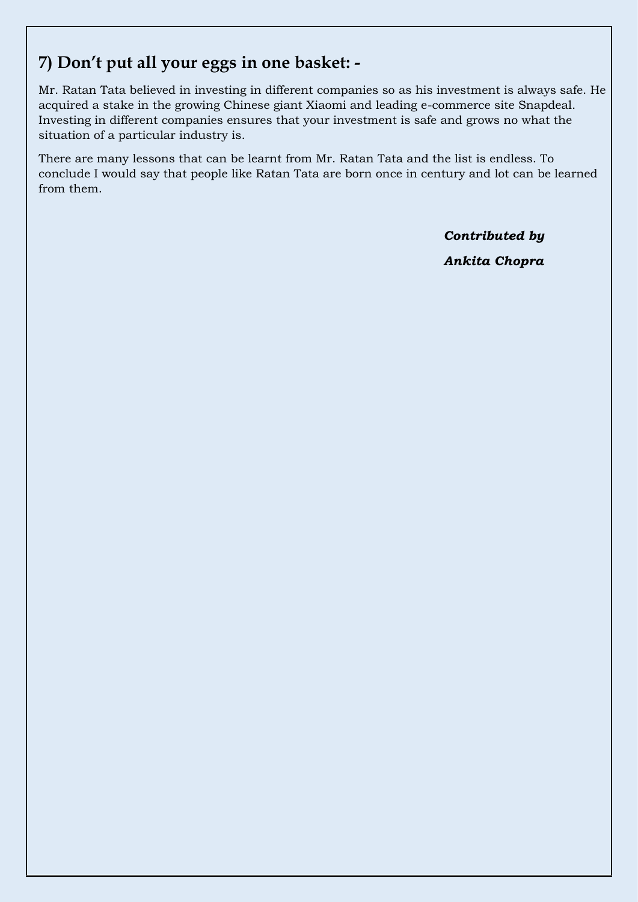#### **7) Don't put all your eggs in one basket: -**

Mr. Ratan Tata believed in investing in different companies so as his investment is always safe. He acquired a stake in the growing Chinese giant Xiaomi and leading e-commerce site Snapdeal. Investing in different companies ensures that your investment is safe and grows no what the situation of a particular industry is.

There are many lessons that can be learnt from Mr. Ratan Tata and the list is endless. To conclude I would say that people like Ratan Tata are born once in century and lot can be learned from them.

> *Contributed by Ankita Chopra*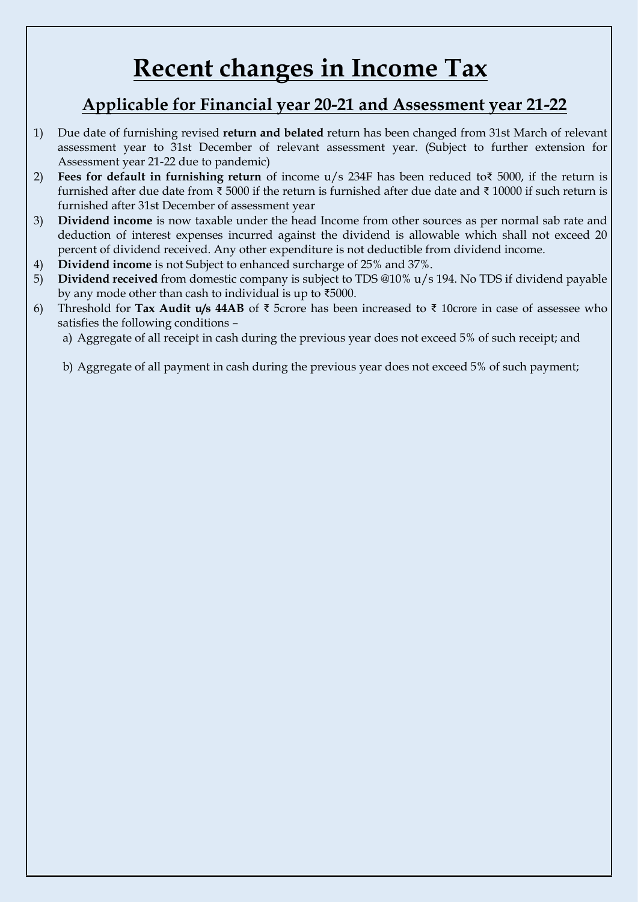## **Recent changes in Income Tax**

#### **Applicable for Financial year 20-21 and Assessment year 21-22**

- 1) Due date of furnishing revised **return and belated** return has been changed from 31st March of relevant assessment year to 31st December of relevant assessment year. (Subject to further extension for Assessment year 21-22 due to pandemic)
- 2) **Fees for default in furnishing return** of income u/s 234F has been reduced to₹ 5000, if the return is furnished after due date from ₹ 5000 if the return is furnished after due date and ₹ 10000 if such return is furnished after 31st December of assessment year
- 3) **Dividend income** is now taxable under the head Income from other sources as per normal sab rate and deduction of interest expenses incurred against the dividend is allowable which shall not exceed 20 percent of dividend received. Any other expenditure is not deductible from dividend income.
- 4) **Dividend income** is not Subject to enhanced surcharge of 25% and 37%.
- 5) **Dividend received** from domestic company is subject to TDS @10% u/s 194. No TDS if dividend payable by any mode other than cash to individual is up to ₹5000.
- 6) Threshold for **Tax Audit u/s 44AB** of ₹ 5crore has been increased to ₹ 10crore in case of assessee who satisfies the following conditions –
	- a) Aggregate of all receipt in cash during the previous year does not exceed 5% of such receipt; and

b) Aggregate of all payment in cash during the previous year does not exceed 5% of such payment;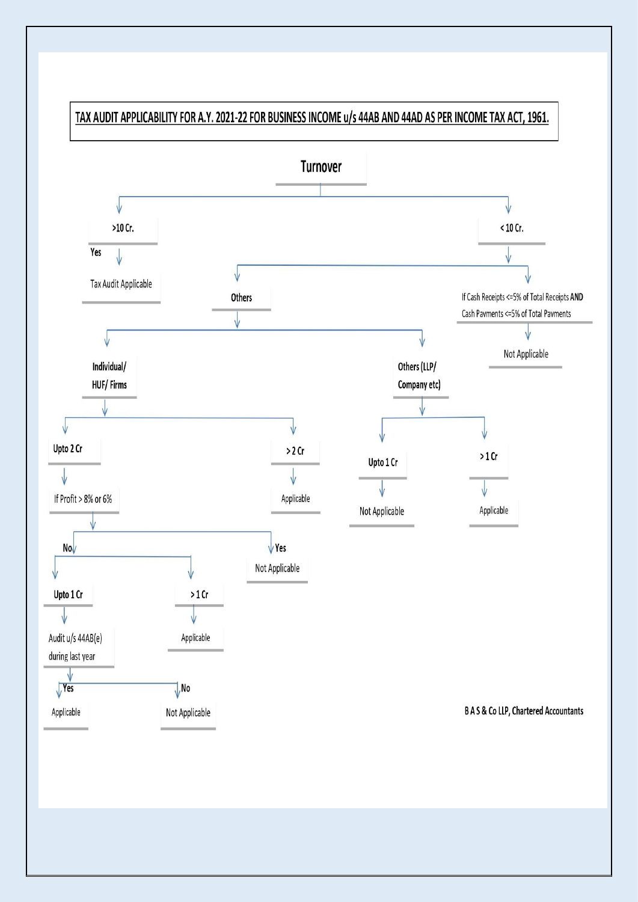

#### TAX AUDIT APPLICABILITY FOR A.Y. 2021-22 FOR BUSINESS INCOME u/s 44AB AND 44AD AS PER INCOME TAX ACT, 1961.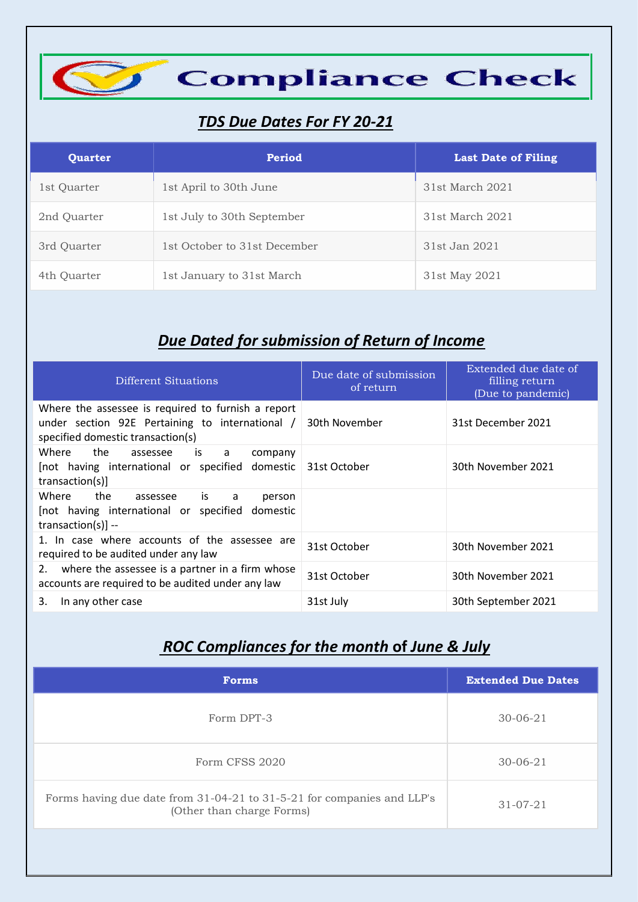

#### *TDS Due Dates For FY 20-21*

| <b>Quarter</b> | Period                       | <b>Last Date of Filing</b> |
|----------------|------------------------------|----------------------------|
| 1st Quarter    | 1st April to 30th June       | 31st March 2021            |
| 2nd Quarter    | 1st July to 30th September   | 31st March 2021            |
| 3rd Quarter    | 1st October to 31st December | 31st Jan 2021              |
| 4th Quarter    | 1st January to 31st March    | 31st May 2021              |

#### *<u>Due Dated for submission of Return of Income</u>*

| Different Situations                                                                                                                       | Due date of submission<br>of return | Extended due date of<br>filling return<br>(Due to pandemic) |
|--------------------------------------------------------------------------------------------------------------------------------------------|-------------------------------------|-------------------------------------------------------------|
| Where the assessee is required to furnish a report<br>under section 92E Pertaining to international /<br>specified domestic transaction(s) | 30th November                       | 31st December 2021                                          |
| Where<br>the<br>assessee is a<br>company<br>[not having international or specified domestic 31st October<br>transaction(s)]                |                                     | 30th November 2021                                          |
| Where<br>the<br>is is<br>assessee<br>a<br>person<br>[not having international or specified domestic<br>transaction(s)] $-$                 |                                     |                                                             |
| 1. In case where accounts of the assessee are<br>required to be audited under any law                                                      | 31st October                        | 30th November 2021                                          |
| where the assessee is a partner in a firm whose<br>2.<br>accounts are required to be audited under any law                                 | 31st October                        | 30th November 2021                                          |
| In any other case<br>3.                                                                                                                    | 31st July                           | 30th September 2021                                         |

### *ROC Compliances for the month* **of** *June & July*

| <b>Forms</b>                                                                                        | <b>Extended Due Dates</b> |
|-----------------------------------------------------------------------------------------------------|---------------------------|
| Form DPT-3                                                                                          | $30 - 06 - 21$            |
| Form CFSS 2020                                                                                      | $30 - 06 - 21$            |
| Forms having due date from 31-04-21 to 31-5-21 for companies and LLP's<br>(Other than charge Forms) | $31 - 07 - 21$            |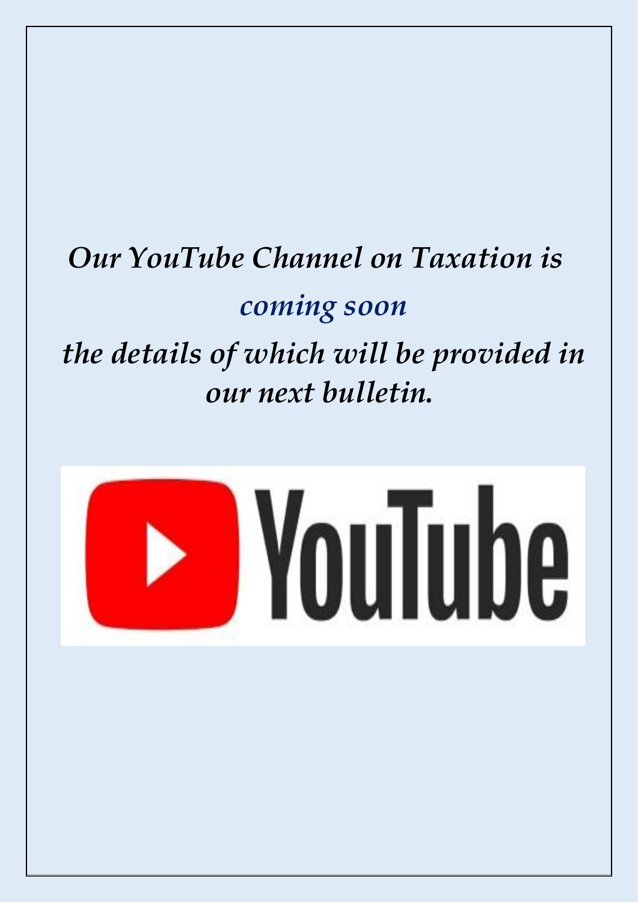# *Our YouTube Channel on Taxation is coming soon the details of which will be provided in our next bulletin.*